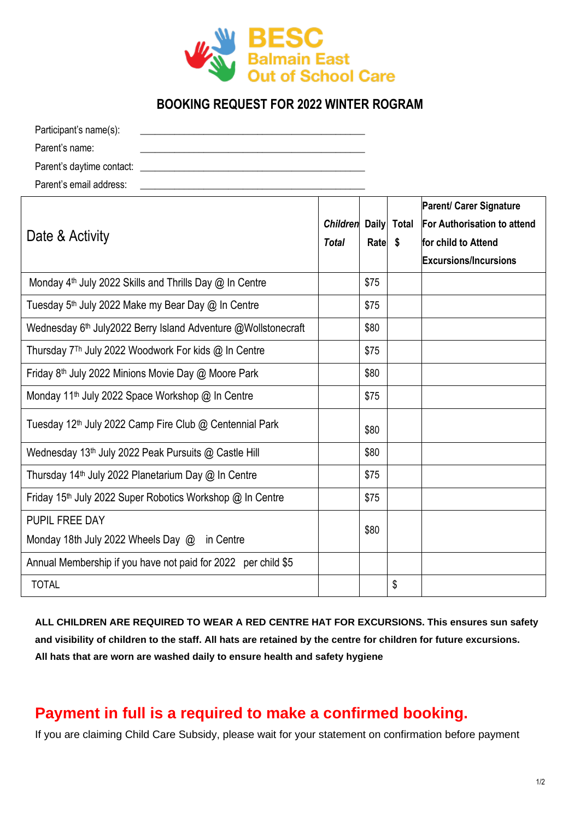

## **BOOKING REQUEST FOR 2022 WINTER ROGRAM**

| Participant's name(s):    |  |
|---------------------------|--|
| Parent's name:            |  |
| Parent's daytime contact: |  |
| Parent's email address:   |  |

| Date & Activity                                                           |  |      |                      | <b>Parent/ Carer Signature</b>     |
|---------------------------------------------------------------------------|--|------|----------------------|------------------------------------|
|                                                                           |  |      | Children Daily Total | <b>For Authorisation to attend</b> |
|                                                                           |  | Rate | \$                   | for child to Attend                |
|                                                                           |  |      |                      | <b>Excursions/Incursions</b>       |
| Monday 4 <sup>th</sup> July 2022 Skills and Thrills Day @ In Centre       |  | \$75 |                      |                                    |
| Tuesday 5 <sup>th</sup> July 2022 Make my Bear Day @ In Centre            |  | \$75 |                      |                                    |
| Wednesday 6 <sup>th</sup> July2022 Berry Island Adventure @Wollstonecraft |  | \$80 |                      |                                    |
| Thursday 7 <sup>Th</sup> July 2022 Woodwork For kids @ In Centre          |  | \$75 |                      |                                    |
| Friday 8 <sup>th</sup> July 2022 Minions Movie Day @ Moore Park           |  | \$80 |                      |                                    |
| Monday 11 <sup>th</sup> July 2022 Space Workshop @ In Centre              |  | \$75 |                      |                                    |
| Tuesday 12 <sup>th</sup> July 2022 Camp Fire Club @ Centennial Park       |  | \$80 |                      |                                    |
| Wednesday 13 <sup>th</sup> July 2022 Peak Pursuits @ Castle Hill          |  | \$80 |                      |                                    |
| Thursday 14 <sup>th</sup> July 2022 Planetarium Day @ In Centre           |  | \$75 |                      |                                    |
| Friday 15 <sup>th</sup> July 2022 Super Robotics Workshop @ In Centre     |  | \$75 |                      |                                    |
| PUPIL FREE DAY                                                            |  |      |                      |                                    |
| Monday 18th July 2022 Wheels Day @ in Centre                              |  | \$80 |                      |                                    |
| Annual Membership if you have not paid for 2022 per child \$5             |  |      |                      |                                    |
| <b>TOTAL</b>                                                              |  |      | \$                   |                                    |

**ALL CHILDREN ARE REQUIRED TO WEAR A RED CENTRE HAT FOR EXCURSIONS. This ensures sun safety and visibility of children to the staff. All hats are retained by the centre for children for future excursions. All hats that are worn are washed daily to ensure health and safety hygiene** 

## **Payment in full is a required to make a confirmed booking.**

If you are claiming Child Care Subsidy, please wait for your statement on confirmation before payment